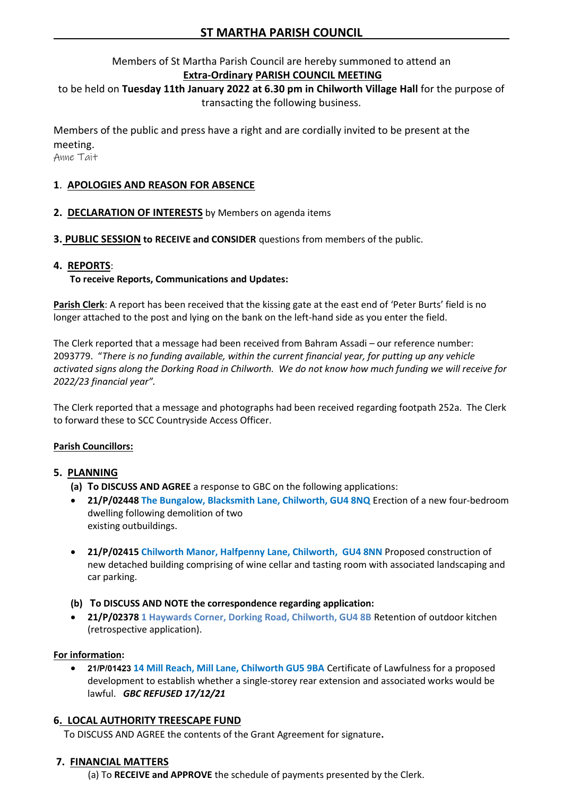# Members of St Martha Parish Council are hereby summoned to attend an **Extra-Ordinary PARISH COUNCIL MEETING**

to be held on **Tuesday 11th January 2022 at 6.30 pm in Chilworth Village Hall** for the purpose of transacting the following business.

Members of the public and press have a right and are cordially invited to be present at the meeting.

Anne Tait

# **1**. **APOLOGIES AND REASON FOR ABSENCE**

- **2. DECLARATION OF INTERESTS** by Members on agenda items
- **3. PUBLIC SESSION to RECEIVE and CONSIDER** questions from members of the public.

### **4. REPORTS**:

#### **To receive Reports, Communications and Updates:**

**Parish Clerk**: A report has been received that the kissing gate at the east end of 'Peter Burts' field is no longer attached to the post and lying on the bank on the left-hand side as you enter the field.

The Clerk reported that a message had been received from Bahram Assadi – our reference number: 2093779. "*There is no funding available, within the current financial year, for putting up any vehicle activated signs along the Dorking Road in Chilworth. We do not know how much funding we will receive for 2022/23 financial year".*

The Clerk reported that a message and photographs had been received regarding footpath 252a. The Clerk to forward these to SCC Countryside Access Officer.

#### **Parish Councillors:**

#### **5. PLANNING**

- **(a) To DISCUSS AND AGREE** a response to GBC on the following applications:
- **21/P/02448 The Bungalow, Blacksmith Lane, Chilworth, GU4 8NQ** Erection of a new four-bedroom dwelling following demolition of two existing outbuildings.
- **21/P/02415 Chilworth Manor, Halfpenny Lane, Chilworth, GU4 8NN** Proposed construction of new detached building comprising of wine cellar and tasting room with associated landscaping and car parking.
- **(b) To DISCUSS AND NOTE the correspondence regarding application:**
- **21/P/02378 1 Haywards Corner, Dorking Road, Chilworth, GU4 8B** Retention of outdoor kitchen (retrospective application).

#### **For information:**

• **21/P/01423 14 Mill Reach, Mill Lane, Chilworth GU5 9BA** Certificate of Lawfulness for a proposed development to establish whether a single-storey rear extension and associated works would be lawful. *GBC REFUSED 17/12/21*

#### **6. LOCAL AUTHORITY TREESCAPE FUND**

To DISCUSS AND AGREE the contents of the Grant Agreement for signature**.**

#### **7. FINANCIAL MATTERS**

(a) To **RECEIVE and APPROVE** the schedule of payments presented by the Clerk.